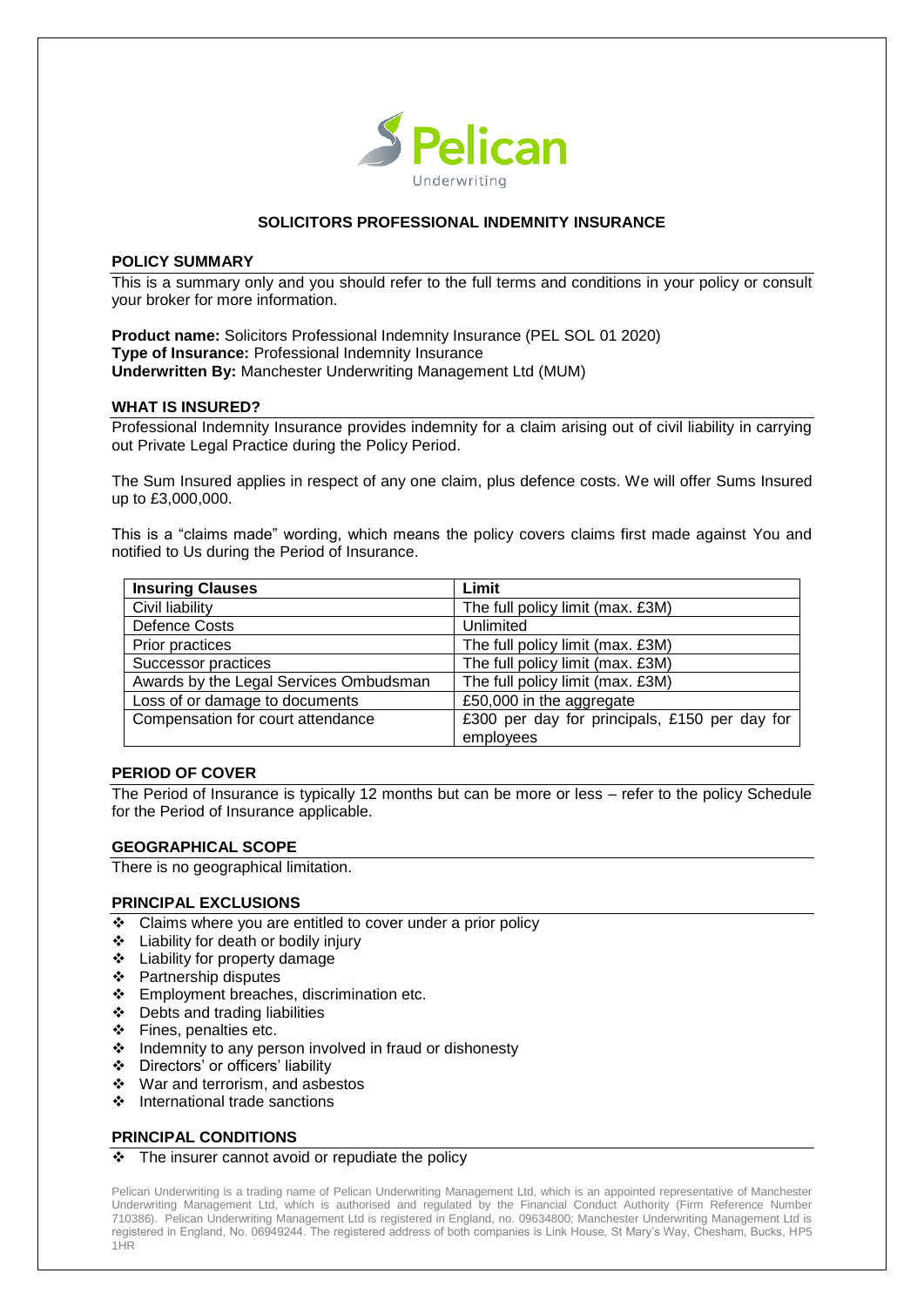

# **SOLICITORS PROFESSIONAL INDEMNITY INSURANCE**

#### **POLICY SUMMARY**

This is a summary only and you should refer to the full terms and conditions in your policy or consult your broker for more information.

**Product name:** Solicitors Professional Indemnity Insurance (PEL SOL 01 2020) **Type of Insurance:** Professional Indemnity Insurance **Underwritten By:** Manchester Underwriting Management Ltd (MUM)

#### **WHAT IS INSURED?**

Professional Indemnity Insurance provides indemnity for a claim arising out of civil liability in carrying out Private Legal Practice during the Policy Period.

The Sum Insured applies in respect of any one claim, plus defence costs. We will offer Sums Insured up to £3,000,000.

This is a "claims made" wording, which means the policy covers claims first made against You and notified to Us during the Period of Insurance.

| <b>Insuring Clauses</b>                | Limit                                         |
|----------------------------------------|-----------------------------------------------|
| Civil liability                        | The full policy limit (max. £3M)              |
| <b>Defence Costs</b>                   | Unlimited                                     |
| Prior practices                        | The full policy limit (max. £3M)              |
| Successor practices                    | The full policy limit (max. £3M)              |
| Awards by the Legal Services Ombudsman | The full policy limit (max. £3M)              |
| Loss of or damage to documents         | £50,000 in the aggregate                      |
| Compensation for court attendance      | £300 per day for principals, £150 per day for |
|                                        | employees                                     |

## **PERIOD OF COVER**

The Period of Insurance is typically 12 months but can be more or less – refer to the policy Schedule for the Period of Insurance applicable.

## **GEOGRAPHICAL SCOPE**

There is no geographical limitation.

## **PRINCIPAL EXCLUSIONS**

- Claims where you are entitled to cover under a prior policy
- **Example 1** Liability for death or bodily injury
- Liability for property damage
- Partnership disputes
- Employment breaches, discrimination etc.
- $\div$  Debts and trading liabilities
- ❖ Fines, penalties etc.
- $\triangleleft$  Indemnity to any person involved in fraud or dishonesty
- Directors' or officers' liability
- War and terrorism, and asbestos
- ❖ International trade sanctions

## **PRINCIPAL CONDITIONS**

#### $\div$  The insurer cannot avoid or repudiate the policy

Pelican Underwriting is a trading name of Pelican Underwriting Management Ltd, which is an appointed representative of Manchester Underwriting Management Ltd, which is authorised and regulated by the Financial Conduct Authority (Firm Reference Number 710386). Pelican Underwriting Management Ltd is registered in England, no. 09634800; Manchester Underwriting Management Ltd is registered in England, No. 06949244. The registered address of both companies is Link House, St Mary's Way, Chesham, Bucks, HP5 1HR